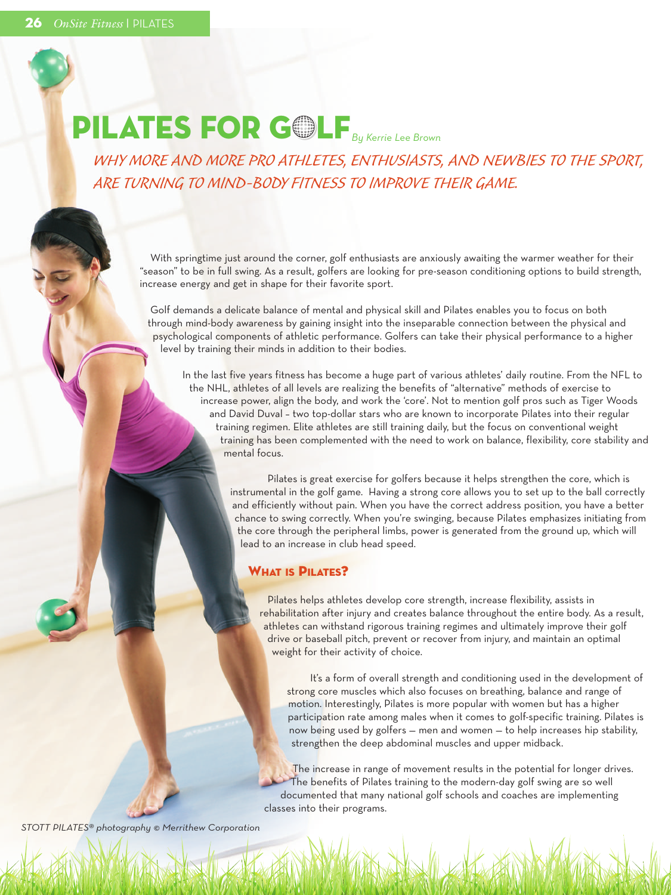# **PILATES FOR GOLF** *By Kerrie Lee Brown*

*WHY MORE AND MORE PRO ATHLETES, ENTHUSIASTS, AND NEWBIES TO THE SPORT, ARE TURNING TO MIND-BODY FITNESS TO IMPROVE THEIR GAME.*

With springtime just around the corner, golf enthusiasts are anxiously awaiting the warmer weather for their "season" to be in full swing. As a result, golfers are looking for pre-season conditioning options to build strength, increase energy and get in shape for their favorite sport.

Golf demands a delicate balance of mental and physical skill and Pilates enables you to focus on both through mind-body awareness by gaining insight into the inseparable connection between the physical and psychological components of athletic performance. Golfers can take their physical performance to a higher level by training their minds in addition to their bodies.

In the last five years fitness has become a huge part of various athletes' daily routine. From the NFL to the NHL, athletes of all levels are realizing the benefits of "alternative" methods of exercise to increase power, align the body, and work the 'core'. Not to mention golf pros such as Tiger Woods and David Duval – two top-dollar stars who are known to incorporate Pilates into their regular training regimen. Elite athletes are still training daily, but the focus on conventional weight training has been complemented with the need to work on balance, flexibility, core stability and mental focus.

> Pilates is great exercise for golfers because it helps strengthen the core, which is instrumental in the golf game. Having a strong core allows you to set up to the ball correctly and efficiently without pain. When you have the correct address position, you have a better chance to swing correctly. When you're swinging, because Pilates emphasizes initiating from the core through the peripheral limbs, power is generated from the ground up, which will lead to an increase in club head speed.

## **WHAT IS PILATES?**

Pilates helps athletes develop core strength, increase flexibility, assists in rehabilitation after injury and creates balance throughout the entire body. As a result, athletes can withstand rigorous training regimes and ultimately improve their golf drive or baseball pitch, prevent or recover from injury, and maintain an optimal weight for their activity of choice.

It's a form of overall strength and conditioning used in the development of strong core muscles which also focuses on breathing, balance and range of motion. Interestingly, Pilates is more popular with women but has a higher participation rate among males when it comes to golf-specific training. Pilates is now being used by golfers — men and women — to help increases hip stability, strengthen the deep abdominal muscles and upper midback.

The increase in range of movement results in the potential for longer drives. The benefits of Pilates training to the modern-day golf swing are so well documented that many national golf schools and coaches are implementing classes into their programs.

*STOTT PILATES® photography © Merrithew Corporation*